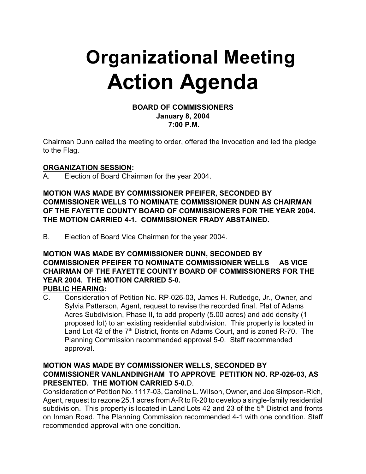# **Organizational Meeting Action Agenda**

#### **BOARD OF COMMISSIONERS January 8, 2004 7:00 P.M.**

Chairman Dunn called the meeting to order, offered the Invocation and led the pledge to the Flag.

## **ORGANIZATION SESSION:**

A. Election of Board Chairman for the year 2004.

**MOTION WAS MADE BY COMMISSIONER PFEIFER, SECONDED BY COMMISSIONER WELLS TO NOMINATE COMMISSIONER DUNN AS CHAIRMAN OF THE FAYETTE COUNTY BOARD OF COMMISSIONERS FOR THE YEAR 2004. THE MOTION CARRIED 4-1. COMMISSIONER FRADY ABSTAINED.** 

B. Election of Board Vice Chairman for the year 2004.

## **MOTION WAS MADE BY COMMISSIONER DUNN, SECONDED BY COMMISSIONER PFEIFER TO NOMINATE COMMISSIONER WELLS AS VICE CHAIRMAN OF THE FAYETTE COUNTY BOARD OF COMMISSIONERS FOR THE YEAR 2004. THE MOTION CARRIED 5-0. PUBLIC HEARING:**

C. Consideration of Petition No. RP-026-03, James H. Rutledge, Jr., Owner, and Sylvia Patterson, Agent, request to revise the recorded final. Plat of Adams Acres Subdivision, Phase II, to add property (5.00 acres) and add density (1 proposed lot) to an existing residential subdivision. This property is located in Land Lot 42 of the  $7<sup>th</sup>$  District, fronts on Adams Court, and is zoned R-70. The Planning Commission recommended approval 5-0. Staff recommended approval.

# **MOTION WAS MADE BY COMMISSIONER WELLS, SECONDED BY COMMISSIONER VANLANDINGHAM TO APPROVE PETITION NO. RP-026-03, AS PRESENTED. THE MOTION CARRIED 5-0.**D.

Consideration of Petition No. 1117-03, Caroline L. Wilson, Owner, and Joe Simpson-Rich, Agent, request to rezone 25.1 acres from A-R to R-20 to develop a single-family residential subdivision. This property is located in Land Lots 42 and 23 of the  $5<sup>th</sup>$  District and fronts on Inman Road. The Planning Commission recommended 4-1 with one condition. Staff recommended approval with one condition.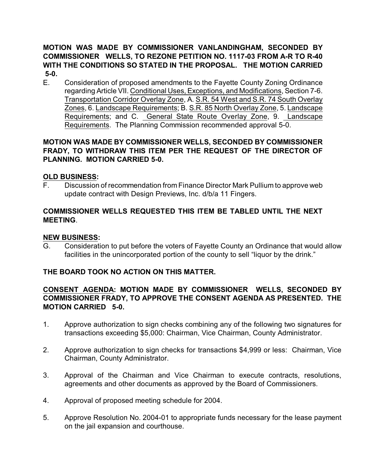# **MOTION WAS MADE BY COMMISSIONER VANLANDINGHAM, SECONDED BY COMMISSIONER WELLS, TO REZONE PETITION NO. 1117-03 FROM A-R TO R-40 WITH THE CONDITIONS SO STATED IN THE PROPOSAL. THE MOTION CARRIED 5-0.**

E. Consideration of proposed amendments to the Fayette County Zoning Ordinance regarding Article VII. Conditional Uses, Exceptions, and Modifications, Section 7-6. Transportation Corridor Overlay Zone, A. S.R. 54 West and S.R. 74 South Overlay Zones, 6. Landscape Requirements; B. S.R. 85 North Overlay Zone, 5. Landscape Requirements; and C. General State Route Overlay Zone, 9. Landscape Requirements. The Planning Commission recommended approval 5-0.

# **MOTION WAS MADE BY COMMISSIONER WELLS, SECONDED BY COMMISSIONER FRADY, TO WITHDRAW THIS ITEM PER THE REQUEST OF THE DIRECTOR OF PLANNING. MOTION CARRIED 5-0.**

# **OLD BUSINESS:**

F. Discussion of recommendation from Finance Director Mark Pullium to approve web update contract with Design Previews, Inc. d/b/a 11 Fingers.

# **COMMISSIONER WELLS REQUESTED THIS ITEM BE TABLED UNTIL THE NEXT MEETING**.

#### **NEW BUSINESS:**

G. Consideration to put before the voters of Fayette County an Ordinance that would allow facilities in the unincorporated portion of the county to sell "liquor by the drink."

# **THE BOARD TOOK NO ACTION ON THIS MATTER.**

# **CONSENT AGENDA: MOTION MADE BY COMMISSIONER WELLS, SECONDED BY COMMISSIONER FRADY, TO APPROVE THE CONSENT AGENDA AS PRESENTED. THE MOTION CARRIED 5-0.**

- 1. Approve authorization to sign checks combining any of the following two signatures for transactions exceeding \$5,000: Chairman, Vice Chairman, County Administrator.
- 2. Approve authorization to sign checks for transactions \$4,999 or less: Chairman, Vice Chairman, County Administrator.
- 3. Approval of the Chairman and Vice Chairman to execute contracts, resolutions, agreements and other documents as approved by the Board of Commissioners.
- 4. Approval of proposed meeting schedule for 2004.
- 5. Approve Resolution No. 2004-01 to appropriate funds necessary for the lease payment on the jail expansion and courthouse.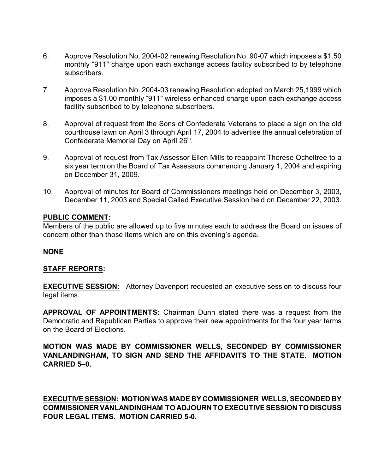- 6. Approve Resolution No. 2004-02 renewing Resolution No. 90-07 which imposes a \$1.50 monthly "911" charge upon each exchange access facility subscribed to by telephone subscribers.
- 7. Approve Resolution No. 2004-03 renewing Resolution adopted on March 25,1999 which imposes a \$1.00 monthly "911" wireless enhanced charge upon each exchange access facility subscribed to by telephone subscribers.
- 8. Approval of request from the Sons of Confederate Veterans to place a sign on the old courthouse lawn on April 3 through April 17, 2004 to advertise the annual celebration of Confederate Memorial Day on April 26<sup>th</sup>.
- 9. Approval of request from Tax Assessor Ellen Mills to reappoint Therese Ocheltree to a six year term on the Board of Tax Assessors commencing January 1, 2004 and expiring on December 31, 2009.
- 10. Approval of minutes for Board of Commissioners meetings held on December 3, 2003, December 11, 2003 and Special Called Executive Session held on December 22, 2003.

#### **PUBLIC COMMENT:**

Members of the public are allowed up to five minutes each to address the Board on issues of concern other than those items which are on this evening's agenda.

#### **NONE**

# **STAFF REPORTS:**

**EXECUTIVE SESSION:** Attorney Davenport requested an executive session to discuss four legal items.

**APPROVAL OF APPOINTMENTS:** Chairman Dunn stated there was a request from the Democratic and Republican Parties to approve their new appointments for the four year terms on the Board of Elections.

**MOTION WAS MADE BY COMMISSIONER WELLS, SECONDED BY COMMISSIONER VANLANDINGHAM, TO SIGN AND SEND THE AFFIDAVITS TO THE STATE. MOTION CARRIED 5–0.**

**EXECUTIVE SESSION: MOTION WAS MADE BY COMMISSIONER WELLS, SECONDED BY COMMISSIONER VANLANDINGHAM TO ADJOURN TO EXECUTIVE SESSION TO DISCUSS FOUR LEGAL ITEMS. MOTION CARRIED 5-0.**